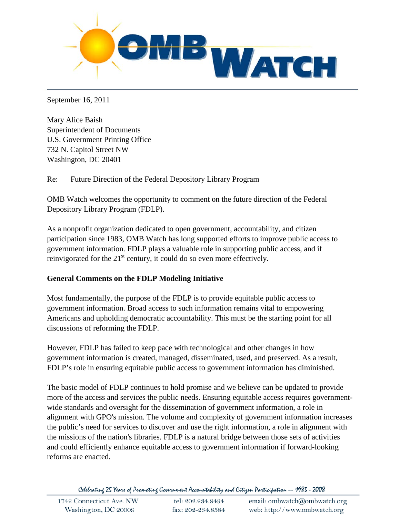

September 16, 2011

Mary Alice Baish Superintendent of Documents U.S. Government Printing Office 732 N. Capitol Street NW Washington, DC 20401

Re: Future Direction of the Federal Depository Library Program

OMB Watch welcomes the opportunity to comment on the future direction of the Federal Depository Library Program (FDLP).

As a nonprofit organization dedicated to open government, accountability, and citizen participation since 1983, OMB Watch has long supported efforts to improve public access to government information. FDLP plays a valuable role in supporting public access, and if reinvigorated for the  $21<sup>st</sup>$  century, it could do so even more effectively.

## **General Comments on the FDLP Modeling Initiative**

Most fundamentally, the purpose of the FDLP is to provide equitable public access to government information. Broad access to such information remains vital to empowering Americans and upholding democratic accountability. This must be the starting point for all discussions of reforming the FDLP.

However, FDLP has failed to keep pace with technological and other changes in how government information is created, managed, disseminated, used, and preserved. As a result, FDLP's role in ensuring equitable public access to government information has diminished.

The basic model of FDLP continues to hold promise and we believe can be updated to provide more of the access and services the public needs. Ensuring equitable access requires governmentwide standards and oversight for the dissemination of government information, a role in alignment with GPO's mission. The volume and complexity of government information increases the public's need for services to discover and use the right information, a role in alignment with the missions of the nation's libraries. FDLP is a natural bridge between those sets of activities and could efficiently enhance equitable access to government information if forward-looking reforms are enacted.

Celebrating 25 Years of Promoting Government Accountability and Citizen Participation - 1983 - 2008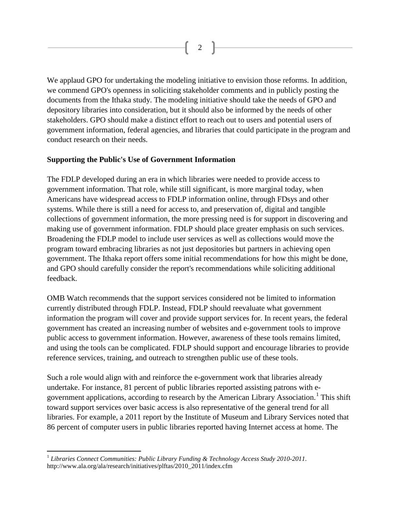2

We applaud GPO for undertaking the modeling initiative to envision those reforms. In addition, we commend GPO's openness in soliciting stakeholder comments and in publicly posting the documents from the Ithaka study. The modeling initiative should take the needs of GPO and depository libraries into consideration, but it should also be informed by the needs of other stakeholders. GPO should make a distinct effort to reach out to users and potential users of government information, federal agencies, and libraries that could participate in the program and conduct research on their needs.

## **Supporting the Public's Use of Government Information**

The FDLP developed during an era in which libraries were needed to provide access to government information. That role, while still significant, is more marginal today, when Americans have widespread access to FDLP information online, through FDsys and other systems. While there is still a need for access to, and preservation of, digital and tangible collections of government information, the more pressing need is for support in discovering and making use of government information. FDLP should place greater emphasis on such services. Broadening the FDLP model to include user services as well as collections would move the program toward embracing libraries as not just depositories but partners in achieving open government. The Ithaka report offers some initial recommendations for how this might be done, and GPO should carefully consider the report's recommendations while soliciting additional feedback.

OMB Watch recommends that the support services considered not be limited to information currently distributed through FDLP. Instead, FDLP should reevaluate what government information the program will cover and provide support services for. In recent years, the federal government has created an increasing number of websites and e-government tools to improve public access to government information. However, awareness of these tools remains limited, and using the tools can be complicated. FDLP should support and encourage libraries to provide reference services, training, and outreach to strengthen public use of these tools.

Such a role would align with and reinforce the e-government work that libraries already undertake. For instance, 81 percent of public libraries reported assisting patrons with e-government applications, according to research by the American Library Association.<sup>[1](#page-1-0)</sup> This shift toward support services over basic access is also representative of the general trend for all libraries. For example, a 2011 report by the Institute of Museum and Library Services noted that 86 percent of computer users in public libraries reported having Internet access at home. The

<span id="page-1-0"></span> <sup>1</sup> *Libraries Connect Communities: Public Library Funding & Technology Access Study 2010-2011*. http://www.ala.org/ala/research/initiatives/plftas/2010\_2011/index.cfm